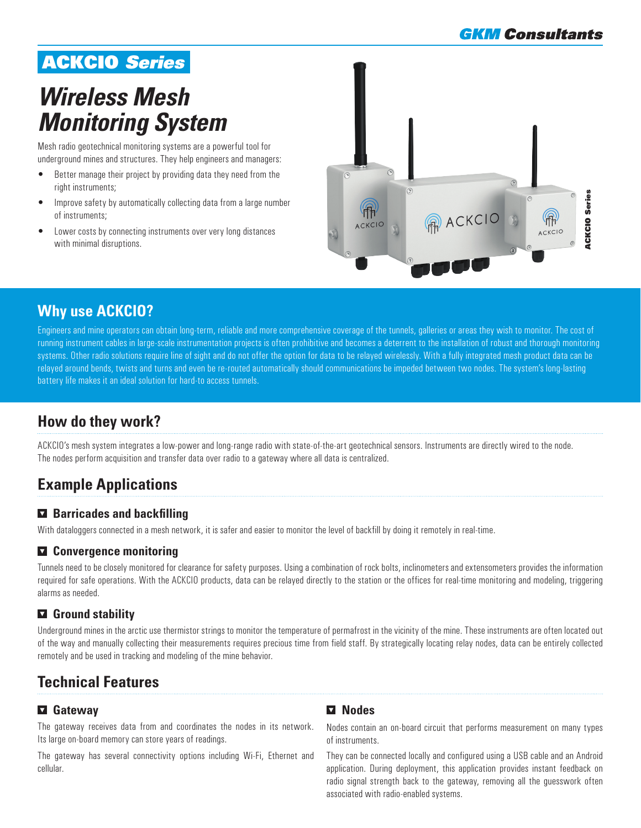# ACKCIO *Series*

# *Wireless Mesh Monitoring System*

Mesh radio geotechnical monitoring systems are a powerful tool for underground mines and structures. They help engineers and managers:

- Better manage their project by providing data they need from the right instruments;
- Improve safety by automatically collecting data from a large number of instruments;
- Lower costs by connecting instruments over very long distances with minimal disruptions.



## **Why use ACKCIO?**

Engineers and mine operators can obtain long-term, reliable and more comprehensive coverage of the tunnels, galleries or areas they wish to monitor. The cost of running instrument cables in large-scale instrumentation projects is often prohibitive and becomes a deterrent to the installation of robust and thorough monitoring systems. Other radio solutions require line of sight and do not offer the option for data to be relayed wirelessly. With a fully integrated mesh product data can be relayed around bends, twists and turns and even be re-routed automatically should communications be impeded between two nodes. The system's long-lasting battery life makes it an ideal solution for hard-to access tunnels.

# **How do they work?**

ACKCIO's mesh system integrates a low-power and long-range radio with state-of-the-art geotechnical sensors. Instruments are directly wired to the node. The nodes perform acquisition and transfer data over radio to a gateway where all data is centralized.

# **Example Applications**

### **Barricades and backfilling**

With dataloggers connected in a mesh network, it is safer and easier to monitor the level of backfill by doing it remotely in real-time.

### **Convergence monitoring**

Tunnels need to be closely monitored for clearance for safety purposes. Using a combination of rock bolts, inclinometers and extensometers provides the information required for safe operations. With the ACKCIO products, data can be relayed directly to the station or the offices for real-time monitoring and modeling, triggering alarms as needed.

### **Ground stability**

Underground mines in the arctic use thermistor strings to monitor the temperature of permafrost in the vicinity of the mine. These instruments are often located out of the way and manually collecting their measurements requires precious time from field staff. By strategically locating relay nodes, data can be entirely collected remotely and be used in tracking and modeling of the mine behavior.

# **Technical Features**

### **Gateway**

The gateway receives data from and coordinates the nodes in its network. Its large on-board memory can store years of readings.

The gateway has several connectivity options including Wi-Fi, Ethernet and cellular.

### **Nodes**

Nodes contain an on-board circuit that performs measurement on many types of instruments.

They can be connected locally and configured using a USB cable and an Android application. During deployment, this application provides instant feedback on radio signal strength back to the gateway, removing all the guesswork often associated with radio-enabled systems.